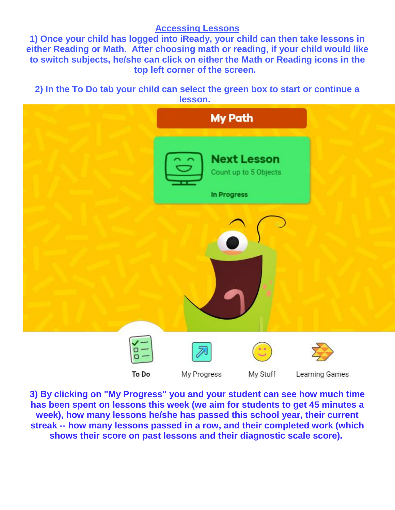## **Accessing Lessons**

**1) Once your child has logged into iReady, your child can then take lessons in either Reading or Math. After choosing math or reading, if your child would like to switch subjects, he/she can click on either the Math or Reading icons in the top left corner of the screen.**

**2) In the To Do tab your child can select the green box to start or continue a [lesson.](https://3.files.edl.io/e746/19/09/19/151545-21b631cb-30b9-48ed-aa56-f3d74d711231.png)** 



**3) By clicking on "My Progress" you and your student can see how much time has been spent on lessons this week (we aim for students to get 45 minutes a week), how many lessons he/she has passed this school year, their current streak -- how many lessons passed in a row, and their completed work (which shows their score on past lessons and their diagnostic scale score).**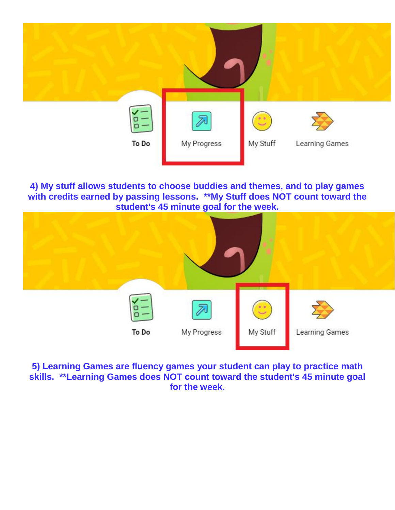

**4) My stuff allows students to choose buddies and themes, and to play games with credits earned by passing lessons. \*\*My Stuff does NOT count toward the student's 45 minute goal for the week.**



**5) Learning Games are fluency games your student can play to practice math skills. \*\*Learning Games does NOT count toward the student's 45 minute goal for the week.**